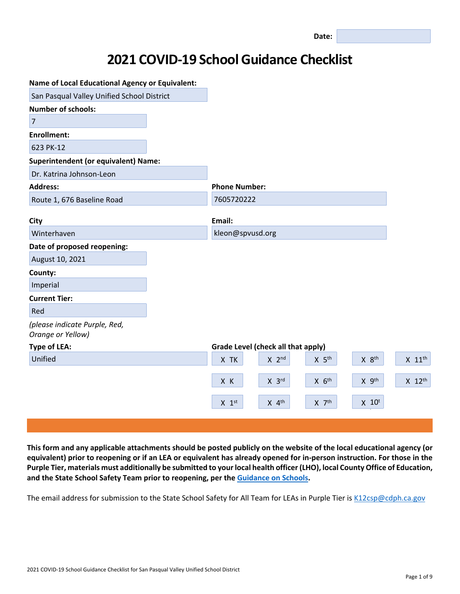# **2021 COVID-19 School Guidance Checklist**

| <b>Name of Local Educational Agency or Equivalent:</b> |                                                                       |                      |
|--------------------------------------------------------|-----------------------------------------------------------------------|----------------------|
| San Pasqual Valley Unified School District             |                                                                       |                      |
| <b>Number of schools:</b>                              |                                                                       |                      |
| $\overline{7}$                                         |                                                                       |                      |
| <b>Enrollment:</b>                                     |                                                                       |                      |
| 623 PK-12                                              |                                                                       |                      |
| <b>Superintendent (or equivalent) Name:</b>            |                                                                       |                      |
| Dr. Katrina Johnson-Leon                               |                                                                       |                      |
| <b>Address:</b>                                        | <b>Phone Number:</b>                                                  |                      |
| Route 1, 676 Baseline Road                             | 7605720222                                                            |                      |
|                                                        |                                                                       |                      |
| City                                                   | Email:                                                                |                      |
| Winterhaven                                            | kleon@spvusd.org                                                      |                      |
| Date of proposed reopening:                            |                                                                       |                      |
| August 10, 2021                                        |                                                                       |                      |
| County:                                                |                                                                       |                      |
| Imperial                                               |                                                                       |                      |
| <b>Current Tier:</b>                                   |                                                                       |                      |
| Red                                                    |                                                                       |                      |
| (please indicate Purple, Red,<br>Orange or Yellow)     |                                                                       |                      |
| <b>Type of LEA:</b>                                    | Grade Level (check all that apply)                                    |                      |
| Unified                                                | X 5 <sup>th</sup><br>X 8 <sup>th</sup><br>X TK<br>$X$ 2 <sup>nd</sup> | $X$ 11 <sup>th</sup> |
|                                                        | $X$ $6th$<br>X 9th<br>X K<br>$X$ $3^{rd}$                             | X 12th               |
|                                                        | $X$ 4 <sup>th</sup><br>$X$ $7th$<br>$X$ 10 <sup>t</sup><br>$X$ 1st    |                      |
|                                                        |                                                                       |                      |

This form and any applicable attachments should be posted publicly on the website of the local educational agency (or equivalent) prior to reopening or if an LEA or equivalent has already opened for in-person instruction. For those in the Purple Tier, materials must additionally be submitted to your local health officer (LHO), local County Office of Education, **and the State School Safety Team prior to reopening, per the [Guidance](https://www.cdph.ca.gov/Programs/CID/DCDC/CDPH%20Document%20Library/COVID-19/Consolidated_Schools_Guidance.pdf) on Schools.**

The email address for submission to the State School Safety for All Team for LEAs in Purple Tier is [K12csp@cdph.ca.gov](mailto:K12csp@cdph.ca.gov)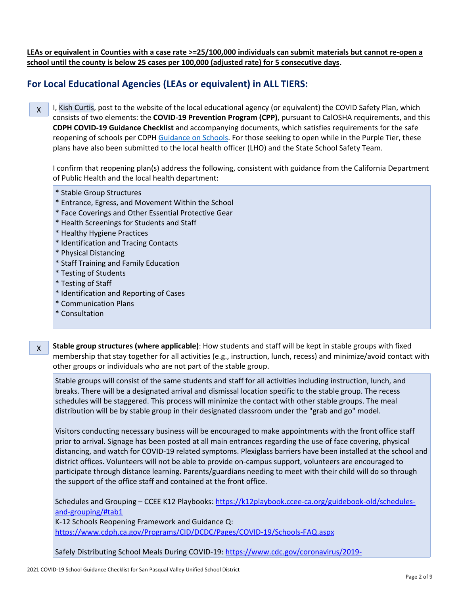LEAs or equivalent in Counties with a case rate >=25/100,000 individuals can submit materials but cannot re-open a **school until the county is below 25 cases per 100,000 (adjusted rate) for 5 consecutive days.**

## **For Local Educational Agencies (LEAs or equivalent) in ALL TIERS:**

X I, Kish Curtis, post to the website of the local educational agency (or equivalent) the COVID Safety Plan, which consists of two elements: the **COVID-19 Prevention Program (CPP)**, pursuant to CalOSHA requirements, and this **CDPH COVID-19 Guidance Checklist** and accompanying documents, which satisfies requirements for the safe reopening of schools per CDPH [Guidance](https://www.cdph.ca.gov/Programs/CID/DCDC/CDPH%20Document%20Library/COVID-19/Consolidated_Schools_Guidance.pdf) on Schools. For those seeking to open while in the Purple Tier, these plans have also been submitted to the local health officer (LHO) and the State School Safety Team.

I confirm that reopening plan(s) address the following, consistent with guidance from the California Department of Public Health and the local health department:

- \* Stable Group Structures
- \* Entrance, Egress, and Movement Within the School
- \* Face Coverings and Other Essential Protective Gear
- \* Health Screenings for Students and Staff
- \* Healthy Hygiene Practices
- \* Identification and Tracing Contacts
- \* Physical Distancing
- \* Staff Training and Family Education
- \* Testing of Students
- \* Testing of Staff
- \* Identification and Reporting of Cases
- \* Communication Plans
- \* Consultation
- X **Stable group structures (where applicable)**: How students and staff will be kept in stable groups with fixed membership that stay together for all activities (e.g., instruction, lunch, recess) and minimize/avoid contact with other groups or individuals who are not part of the stable group.

Stable groups will consist of the same students and staff for all activities including instruction, lunch, and breaks. There will be a designated arrival and dismissal location specific to the stable group. The recess schedules will be staggered. This process will minimize the contact with other stable groups. The meal distribution will be by stable group in their designated classroom under the "grab and go" model.

Visitors conducting necessary business will be encouraged to make appointments with the front office staff prior to arrival. Signage has been posted at all main entrances regarding the use of face covering, physical distancing, and watch for COVID-19 related symptoms. Plexiglass barriers have been installed at the school and district offices. Volunteers will not be able to provide on-campus support, volunteers are encouraged to participate through distance learning. Parents/guardians needing to meet with their child will do so through the support of the office staff and contained at the front office.

Schedules and Grouping - CCEE K12 Playbooks: [https://k12playbook.ccee-ca.org/guidebook-old/schedules](https://k12playbook.ccee-ca.org/guidebook-old/schedules-and-grouping/#tab1)[and-grouping/#tab1](https://k12playbook.ccee-ca.org/guidebook-old/schedules-and-grouping/#tab1)

K-12 Schools Reopening Framework and Guidance Q: <https://www.cdph.ca.gov/Programs/CID/DCDC/Pages/COVID-19/Schools-FAQ.aspx>

Safely Distributing School Meals During COVID-19: [https://www.cdc.gov/coronavirus/2019-](https://www.cdc.gov/coronavirus/2019-ncov/community/schools-childcare/safely-distributing-meals.html)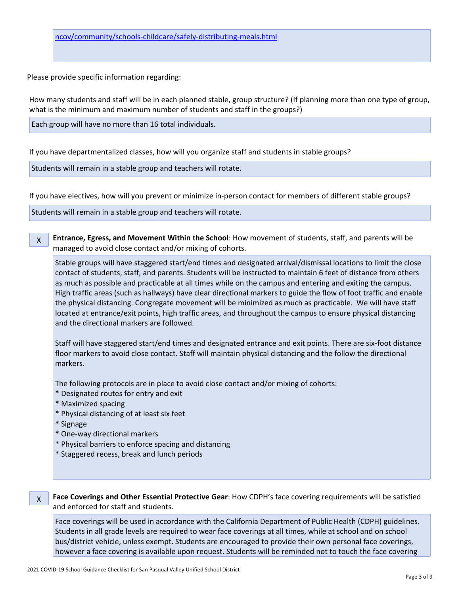Please provide specific information regarding:

How many students and staff will be in each planned stable, group structure? (If planning more than one type of group, what is the minimum and maximum number of students and staff in the groups?)

Each group will have no more than 16 total individuals.

If you have departmentalized classes, how will you organize staff and students in stable groups?

Students will remain in a stable group and teachers will rotate.

If you have electives, how will you prevent or minimize in-person contact for members of different stable groups?

Students will remain in a stable group and teachers will rotate.

X **Entrance, Egress, and Movement Within the School**: How movement of students, staff, and parents will be managed to avoid close contact and/or mixing of cohorts.

Stable groups will have staggered start/end times and designated arrival/dismissal locations to limit the close contact of students, staff, and parents. Students will be instructed to maintain 6 feet of distance from others as much as possible and practicable at all times while on the campus and entering and exiting the campus. High traffic areas (such as hallways) have clear directional markers to guide the flow of foot traffic and enable the physical distancing. Congregate movement will be minimized as much as practicable. We will have staff located at entrance/exit points, high traffic areas, and throughout the campus to ensure physical distancing and the directional markers are followed.

Staff will have staggered start/end times and designated entrance and exit points. There are six-foot distance floor markers to avoid close contact. Staff will maintain physical distancing and the follow the directional markers.

The following protocols are in place to avoid close contact and/or mixing of cohorts:

- \* Designated routes for entry and exit
- \* Maximized spacing
- \* Physical distancing of at least six feet
- \* Signage
- \* One-way directional markers
- \* Physical barriers to enforce spacing and distancing
- \* Staggered recess, break and lunch periods

#### X **Face Coverings and Other Essential Protective Gear**: How CDPH's face covering requirements will be satisfied and enforced for staff and students.

Face coverings will be used in accordance with the California Department of Public Health (CDPH) guidelines. Students in all grade levels are required to wear face coverings at all times, while at school and on school bus/district vehicle, unless exempt. Students are encouraged to provide their own personal face coverings, however a face covering is available upon request. Students will be reminded not to touch the face covering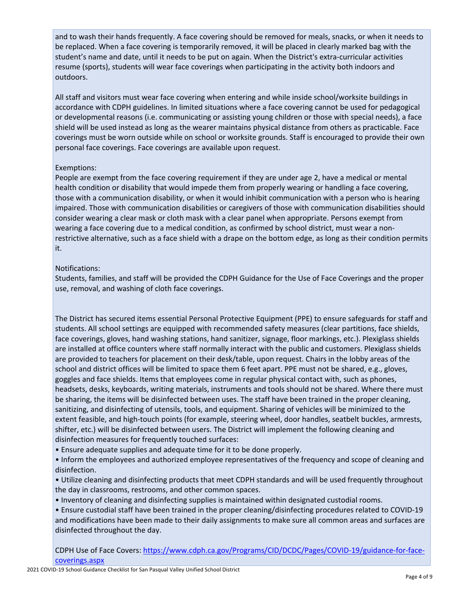and to wash their hands frequently. A face covering should be removed for meals, snacks, or when it needs to be replaced. When a face covering is temporarily removed, it will be placed in clearly marked bag with the student's name and date, until it needs to be put on again. When the District's extra-curricular activities resume (sports), students will wear face coverings when participating in the activity both indoors and outdoors.

All staff and visitors must wear face covering when entering and while inside school/worksite buildings in accordance with CDPH guidelines. In limited situations where a face covering cannot be used for pedagogical or developmental reasons (i.e. communicating or assisting young children or those with special needs), a face shield will be used instead as long as the wearer maintains physical distance from others as practicable. Face coverings must be worn outside while on school or worksite grounds. Staff is encouraged to provide their own personal face coverings. Face coverings are available upon request.

#### Exemptions:

People are exempt from the face covering requirement if they are under age 2, have a medical or mental health condition or disability that would impede them from properly wearing or handling a face covering, those with a communication disability, or when it would inhibit communication with a person who is hearing impaired. Those with communication disabilities or caregivers of those with communication disabilities should consider wearing a clear mask or cloth mask with a clear panel when appropriate. Persons exempt from wearing a face covering due to a medical condition, as confirmed by school district, must wear a nonrestrictive alternative, such as a face shield with a drape on the bottom edge, as long as their condition permits it.

#### Notifications:

Students, families, and staff will be provided the CDPH Guidance for the Use of Face Coverings and the proper use, removal, and washing of cloth face coverings.

The District has secured items essential Personal Protective Equipment (PPE) to ensure safeguards for staff and students. All school settings are equipped with recommended safety measures (clear partitions, face shields, face coverings, gloves, hand washing stations, hand sanitizer, signage, floor markings, etc.). Plexiglass shields are installed at office counters where staff normally interact with the public and customers. Plexiglass shields are provided to teachers for placement on their desk/table, upon request. Chairs in the lobby areas of the school and district offices will be limited to space them 6 feet apart. PPE must not be shared, e.g., gloves, goggles and face shields. Items that employees come in regular physical contact with, such as phones, headsets, desks, keyboards, writing materials, instruments and tools should not be shared. Where there must be sharing, the items will be disinfected between uses. The staff have been trained in the proper cleaning, sanitizing, and disinfecting of utensils, tools, and equipment. Sharing of vehicles will be minimized to the extent feasible, and high-touch points (for example, steering wheel, door handles, seatbelt buckles, armrests, shifter, etc.) will be disinfected between users. The District will implement the following cleaning and disinfection measures for frequently touched surfaces:

• Ensure adequate supplies and adequate time for it to be done properly.

• Inform the employees and authorized employee representatives of the frequency and scope of cleaning and disinfection.

• Utilize cleaning and disinfecting products that meet CDPH standards and will be used frequently throughout the day in classrooms, restrooms, and other common spaces.

• Inventory of cleaning and disinfecting supplies is maintained within designated custodial rooms.

• Ensure custodial staff have been trained in the proper cleaning/disinfecting procedures related to COVID-19 and modifications have been made to their daily assignments to make sure all common areas and surfaces are disinfected throughout the day.

CDPH Use of Face Covers: [https://www.cdph.ca.gov/Programs/CID/DCDC/Pages/COVID-19/guidance-for-face](https://www.cdph.ca.gov/Programs/CID/DCDC/Pages/COVID-19/guidance-for-face-coverings.aspx)[coverings.aspx](https://www.cdph.ca.gov/Programs/CID/DCDC/Pages/COVID-19/guidance-for-face-coverings.aspx)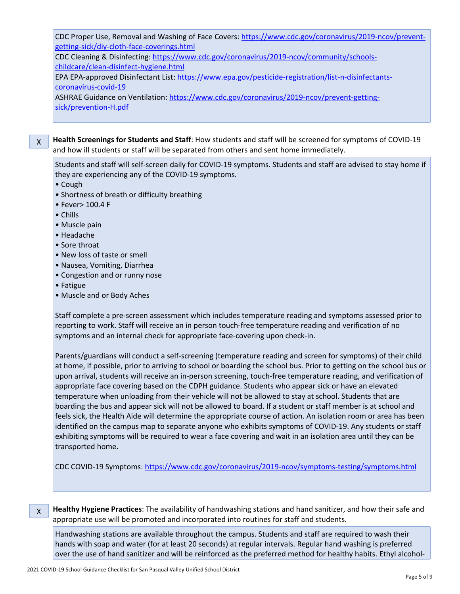CDC Proper Use, Removal and Washing of Face Covers: [https://www.cdc.gov/coronavirus/2019-ncov/prevent](https://www.cdc.gov/coronavirus/2019-ncov/prevent-getting-sick/diy-cloth-face-coverings.html)[getting-sick/diy-cloth-face-coverings.html](https://www.cdc.gov/coronavirus/2019-ncov/prevent-getting-sick/diy-cloth-face-coverings.html)

CDC Cleaning & Disinfecting: [https://www.cdc.gov/coronavirus/2019-ncov/community/schools](https://www.cdc.gov/coronavirus/2019-ncov/community/schools-childcare/clean-disinfect-hygiene.html)[childcare/clean-disinfect-hygiene.html](https://www.cdc.gov/coronavirus/2019-ncov/community/schools-childcare/clean-disinfect-hygiene.html)

EPA EPA-approved Disinfectant List: [https://www.epa.gov/pesticide-registration/list-n-disinfectants](https://www.epa.gov/pesticide-registration/list-n-disinfectants-coronavirus-covid-19)[coronavirus-covid-19](https://www.epa.gov/pesticide-registration/list-n-disinfectants-coronavirus-covid-19)

ASHRAE Guidance on Ventilation: [https://www.cdc.gov/coronavirus/2019-ncov/prevent-getting](https://www.cdc.gov/coronavirus/2019-ncov/prevent-getting-sick/prevention-H.pdf)[sick/prevention-H.pdf](https://www.cdc.gov/coronavirus/2019-ncov/prevent-getting-sick/prevention-H.pdf)

X **Health Screenings for Students and Staff**: How students and staff will be screened for symptoms of COVID-19 and how ill students or staff will be separated from others and sent home immediately.

Students and staff will self-screen daily for COVID-19 symptoms. Students and staff are advised to stay home if they are experiencing any of the COVID-19 symptoms.

• Cough

- Shortness of breath or difficulty breathing
- Fever> 100.4 F
- Chills
- Muscle pain
- Headache
- Sore throat
- New loss of taste or smell
- Nausea, Vomiting, Diarrhea
- Congestion and or runny nose
- Fatigue
- Muscle and or Body Aches

Staff complete a pre-screen assessment which includes temperature reading and symptoms assessed prior to reporting to work. Staff will receive an in person touch-free temperature reading and verification of no symptoms and an internal check for appropriate face-covering upon check-in.

Parents/guardians will conduct a self-screening (temperature reading and screen for symptoms) of their child at home, if possible, prior to arriving to school or boarding the school bus. Prior to getting on the school bus or upon arrival, students will receive an in-person screening, touch-free temperature reading, and verification of appropriate face covering based on the CDPH guidance. Students who appear sick or have an elevated temperature when unloading from their vehicle will not be allowed to stay at school. Students that are boarding the bus and appear sick will not be allowed to board. If a student or staff member is at school and feels sick, the Health Aide will determine the appropriate course of action. An isolation room or area has been identified on the campus map to separate anyone who exhibits symptoms of COVID-19. Any students or staff exhibiting symptoms will be required to wear a face covering and wait in an isolation area until they can be transported home.

CDC COVID-19 Symptoms: <https://www.cdc.gov/coronavirus/2019-ncov/symptoms-testing/symptoms.html>

X **Healthy Hygiene Practices**: The availability of handwashing stations and hand sanitizer, and how their safe and appropriate use will be promoted and incorporated into routines for staff and students.

Handwashing stations are available throughout the campus. Students and staff are required to wash their hands with soap and water (for at least 20 seconds) at regular intervals. Regular hand washing is preferred over the use of hand sanitizer and will be reinforced as the preferred method for healthy habits. Ethyl alcohol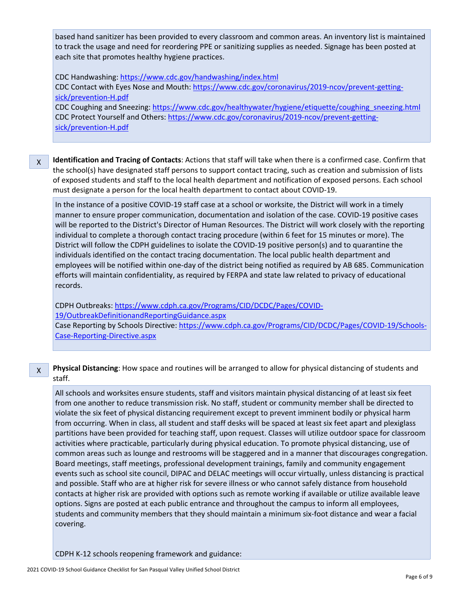based hand sanitizer has been provided to every classroom and common areas. An inventory list is maintained to track the usage and need for reordering PPE or sanitizing supplies as needed. Signage has been posted at each site that promotes healthy hygiene practices.

CDC Handwashing: <https://www.cdc.gov/handwashing/index.html> CDC Contact with Eyes Nose and Mouth: [https://www.cdc.gov/coronavirus/2019-ncov/prevent-getting](https://www.cdc.gov/coronavirus/2019-ncov/prevent-getting-sick/prevention-H.pdf)[sick/prevention-H.pdf](https://www.cdc.gov/coronavirus/2019-ncov/prevent-getting-sick/prevention-H.pdf) CDC Coughing and Sneezing: [https://www.cdc.gov/healthywater/hygiene/etiquette/coughing\\_sneezing.html](https://www.cdc.gov/healthywater/hygiene/etiquette/coughing_sneezing.html) CDC Protect Yourself and Others: [https://www.cdc.gov/coronavirus/2019-ncov/prevent-getting-](https://www.cdc.gov/coronavirus/2019-ncov/prevent-getting-sick/prevention-H.pdf)

[sick/prevention-H.pdf](https://www.cdc.gov/coronavirus/2019-ncov/prevent-getting-sick/prevention-H.pdf)

X

X **Identification and Tracing of Contacts**: Actions that staff will take when there is a confirmed case. Confirm that the school(s) have designated staff persons to support contact tracing, such as creation and submission of lists of exposed students and staff to the local health department and notification of exposed persons. Each school must designate a person for the local health department to contact about COVID-19.

In the instance of a positive COVID-19 staff case at a school or worksite, the District will work in a timely manner to ensure proper communication, documentation and isolation of the case. COVID-19 positive cases will be reported to the District's Director of Human Resources. The District will work closely with the reporting individual to complete a thorough contact tracing procedure (within 6 feet for 15 minutes or more). The District will follow the CDPH guidelines to isolate the COVID-19 positive person(s) and to quarantine the individuals identified on the contact tracing documentation. The local public health department and employees will be notified within one-day of the district being notified as required by AB 685. Communication efforts will maintain confidentiality, as required by FERPA and state law related to privacy of educational records.

CDPH Outbreaks: [https://www.cdph.ca.gov/Programs/CID/DCDC/Pages/COVID-](https://www.cdph.ca.gov/Programs/CID/DCDC/Pages/COVID-19/OutbreakDefinitionandReportingGuidance.aspx)[19/OutbreakDefinitionandReportingGuidance.aspx](https://www.cdph.ca.gov/Programs/CID/DCDC/Pages/COVID-19/OutbreakDefinitionandReportingGuidance.aspx) Case Reporting by Schools Directive: [https://www.cdph.ca.gov/Programs/CID/DCDC/Pages/COVID-19/Schools-](https://www.cdph.ca.gov/Programs/CID/DCDC/Pages/COVID-19/Schools-Case-Reporting-Directive.aspx)[Case-Reporting-Directive.aspx](https://www.cdph.ca.gov/Programs/CID/DCDC/Pages/COVID-19/Schools-Case-Reporting-Directive.aspx)

**Physical Distancing**: How space and routines will be arranged to allow for physical distancing of students and staff.

All schools and worksites ensure students, staff and visitors maintain physical distancing of at least six feet from one another to reduce transmission risk. No staff, student or community member shall be directed to violate the six feet of physical distancing requirement except to prevent imminent bodily or physical harm from occurring. When in class, all student and staff desks will be spaced at least six feet apart and plexiglass partitions have been provided for teaching staff, upon request. Classes will utilize outdoor space for classroom activities where practicable, particularly during physical education. To promote physical distancing, use of common areas such as lounge and restrooms will be staggered and in a manner that discourages congregation. Board meetings, staff meetings, professional development trainings, family and community engagement events such as school site council, DIPAC and DELAC meetings will occur virtually, unless distancing is practical and possible. Staff who are at higher risk for severe illness or who cannot safely distance from household contacts at higher risk are provided with options such as remote working if available or utilize available leave options. Signs are posted at each public entrance and throughout the campus to inform all employees, students and community members that they should maintain a minimum six-foot distance and wear a facial covering.

CDPH K-12 schools reopening framework and guidance: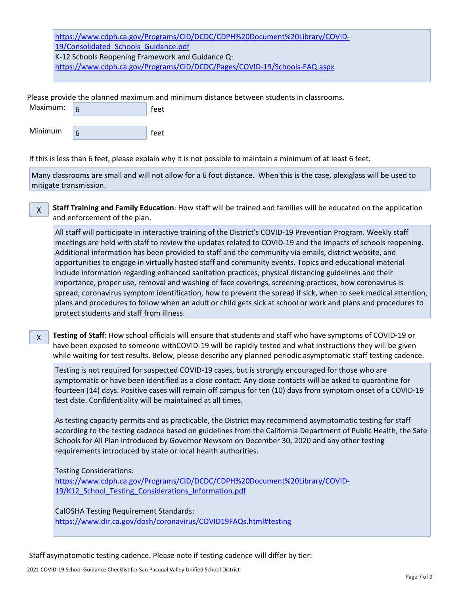[https://www.cdph.ca.gov/Programs/CID/DCDC/CDPH%20Document%20Library/COVID-](https://www.cdph.ca.gov/Programs/CID/DCDC/CDPH%20Document%20Library/COVID-19/Consolidated_Schools_Guidance.pdf)19/Consolidated Schools Guidance.pdf K-12 Schools Reopening Framework and Guidance Q: <https://www.cdph.ca.gov/Programs/CID/DCDC/Pages/COVID-19/Schools-FAQ.aspx>

Please provide the planned maximum and minimum distance between students in classrooms.

| Maximum: | feet |  |
|----------|------|--|
| Minimum  | feet |  |

X

If this is less than 6 feet, please explain why it is not possible to maintain a minimum of at least 6 feet.

Many classrooms are small and will not allow for a 6 foot distance. When this is the case, plexiglass will be used to mitigate transmission.

**Staff Training and Family Education**: How staff will be trained and families will be educated on the application and enforcement of the plan.

All staff will participate in interactive training of the District's COVID-19 Prevention Program. Weekly staff meetings are held with staff to review the updates related to COVID-19 and the impacts of schools reopening. Additional information has been provided to staff and the community via emails, district website, and opportunities to engage in virtually hosted staff and community events. Topics and educational material include information regarding enhanced sanitation practices, physical distancing guidelines and their importance, proper use, removal and washing of face coverings, screening practices, how coronavirus is spread, coronavirus symptom identification, how to prevent the spread if sick, when to seek medical attention, plans and procedures to follow when an adult or child gets sick at school or work and plans and procedures to protect students and staff from illness.

X **Testing of Staff**: How school officials will ensure that students and staff who have symptoms of COVID-19 or have been exposed to someone withCOVID-19 will be rapidly tested and what instructions they will be given while waiting for test results. Below, please describe any planned periodic asymptomatic staff testing cadence.

Testing is not required for suspected COVID-19 cases, but is strongly encouraged for those who are symptomatic or have been identified as a close contact. Any close contacts will be asked to quarantine for fourteen (14) days. Positive cases will remain off campus for ten (10) days from symptom onset of a COVID-19 test date. Confidentiality will be maintained at all times.

As testing capacity permits and as practicable, the District may recommend asymptomatic testing for staff according to the testing cadence based on guidelines from the California Department of Public Health, the Safe Schools for All Plan introduced by Governor Newsom on December 30, 2020 and any other testing requirements introduced by state or local health authorities.

Testing Considerations:

[https://www.cdph.ca.gov/Programs/CID/DCDC/CDPH%20Document%20Library/COVID-](https://www.cdph.ca.gov/Programs/CID/DCDC/CDPH%20Document%20Library/COVID-19/K12_School_Testing_Considerations_Information.pdf)[19/K12\\_School\\_Testing\\_Considerations\\_Information.pdf](https://www.cdph.ca.gov/Programs/CID/DCDC/CDPH%20Document%20Library/COVID-19/K12_School_Testing_Considerations_Information.pdf)

CalOSHA Testing Requirement Standards: <https://www.dir.ca.gov/dosh/coronavirus/COVID19FAQs.html#testing>

Staff asymptomatic testing cadence. Please note if testing cadence will differ by tier: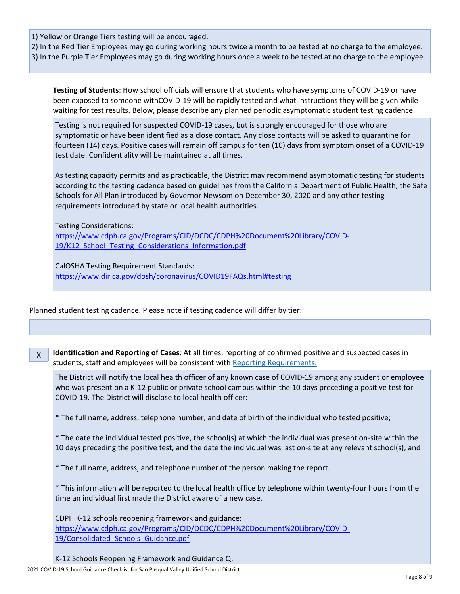1) Yellow or Orange Tiers testing will be encouraged.

2) In the Red Tier Employees may go during working hours twice a month to be tested at no charge to the employee. 3) In the Purple Tier Employees may go during working hours once a week to be tested at no charge to the employee.

**Testing of Students**: How school officials will ensure that students who have symptoms of COVID-19 or have been exposed to someone withCOVID-19 will be rapidly tested and what instructions they will be given while waiting for test results. Below, please describe any planned periodic asymptomatic student testing cadence.

Testing is not required for suspected COVID-19 cases, but is strongly encouraged for those who are symptomatic or have been identified as a close contact. Any close contacts will be asked to quarantine for fourteen (14) days. Positive cases will remain off campus for ten (10) days from symptom onset of a COVID-19 test date. Confidentiality will be maintained at all times.

As testing capacity permits and as practicable, the District may recommend asymptomatic testing for students according to the testing cadence based on guidelines from the California Department of Public Health, the Safe Schools for All Plan introduced by Governor Newsom on December 30, 2020 and any other testing requirements introduced by state or local health authorities.

Testing Considerations:

[https://www.cdph.ca.gov/Programs/CID/DCDC/CDPH%20Document%20Library/COVID-](https://www.cdph.ca.gov/Programs/CID/DCDC/CDPH%20Document%20Library/COVID-19/K12_School_Testing_Considerations_Information.pdf)19/K12 School Testing Considerations Information.pdf

CalOSHA Testing Requirement Standards: <https://www.dir.ca.gov/dosh/coronavirus/COVID19FAQs.html#testing>

Planned student testing cadence. Please note if testing cadence will differ by tier:

X **Identification and Reporting of Cases**: At all times, reporting of confirmed positive and suspected cases in students, staff and employees will be consistent with Reporting [Requirements.](http://www.doc-tracking.com/screenshots/COVID-19/Case%20Reporting%20by%20Schools%20Directive.pdf)

The District will notify the local health officer of any known case of COVID-19 among any student or employee who was present on a K-12 public or private school campus within the 10 days preceding a positive test for COVID-19. The District will disclose to local health officer:

\* The full name, address, telephone number, and date of birth of the individual who tested positive;

\* The date the individual tested positive, the school(s) at which the individual was present on-site within the 10 days preceding the positive test, and the date the individual was last on-site at any relevant school(s); and

\* The full name, address, and telephone number of the person making the report.

\* This information will be reported to the local health office by telephone within twenty-four hours from the time an individual first made the District aware of a new case.

CDPH K-12 schools reopening framework and guidance: [https://www.cdph.ca.gov/Programs/CID/DCDC/CDPH%20Document%20Library/COVID-](https://www.cdph.ca.gov/Programs/CID/DCDC/CDPH%20Document%20Library/COVID-19/Consolidated_Schools_Guidance.pdf)19/Consolidated Schools Guidance.pdf

K-12 Schools Reopening Framework and Guidance Q: